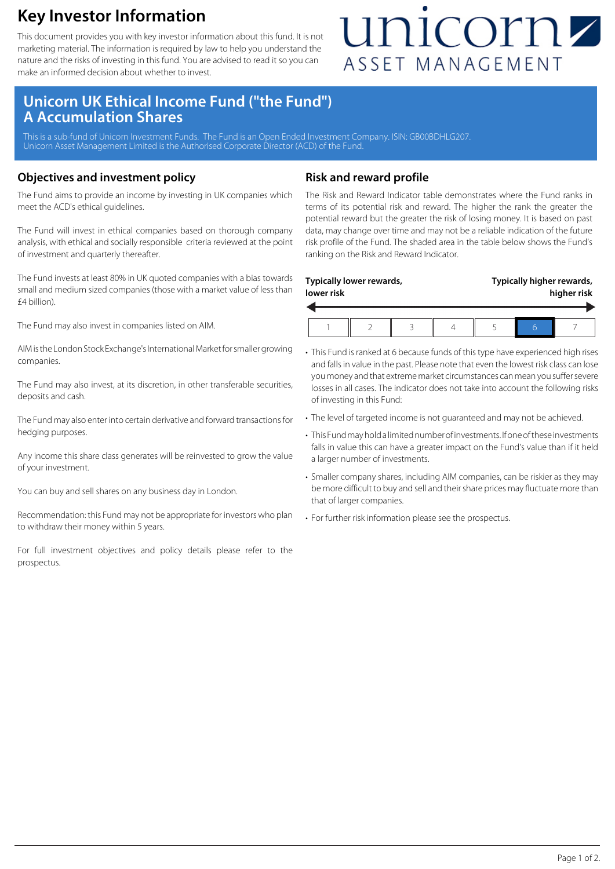### **Key Investor Information**

This document provides you with key investor information about this fund. It is not marketing material. The information is required by law to help you understand the nature and the risks of investing in this fund. You are advised to read it so you can make an informed decision about whether to invest.

## unicornz ASSET MANAGEMENT

### **Unicorn UK Ethical Income Fund ("the Fund") A Accumulation Shares**

This is a sub-fund of Unicorn Investment Funds. The Fund is an Open Ended Investment Company. ISIN: GB00BDHLG207. Unicorn Asset Management Limited is the Authorised Corporate Director (ACD) of the Fund.

#### **Objectives and investment policy**

The Fund aims to provide an income by investing in UK companies which meet the ACD's ethical guidelines.

The Fund will invest in ethical companies based on thorough company analysis, with ethical and socially responsible criteria reviewed at the point of investment and quarterly thereafter.

The Fund invests at least 80% in UK quoted companies with a bias towards small and medium sized companies (those with a market value of less than £4 billion).

The Fund may also invest in companies listed on AIM.

AIM is the London Stock Exchange's International Market for smaller growing companies.

The Fund may also invest, at its discretion, in other transferable securities, deposits and cash.

The Fund may also enter into certain derivative and forward transactions for hedging purposes.

Any income this share class generates will be reinvested to grow the value of your investment.

You can buy and sell shares on any business day in London.

Recommendation: this Fund may not be appropriate for investors who plan to withdraw their money within 5 years.

For full investment objectives and policy details please refer to the prospectus.

#### **Risk and reward profile**

The Risk and Reward Indicator table demonstrates where the Fund ranks in terms of its potential risk and reward. The higher the rank the greater the potential reward but the greater the risk of losing money. It is based on past data, may change over time and may not be a reliable indication of the future risk profile of the Fund. The shaded area in the table below shows the Fund's ranking on the Risk and Reward Indicator.

| lower risk | Typically lower rewards, |  | Typically higher rewards,<br>higher risk |  |  |
|------------|--------------------------|--|------------------------------------------|--|--|
|            |                          |  |                                          |  |  |

- This Fund is ranked at 6 because funds of this type have experienced high rises and falls in value in the past. Please note that even the lowest risk class can lose you money and that extreme market circumstances can mean you suffer severe losses in all cases. The indicator does not take into account the following risks of investing in this Fund:
- The level of targeted income is not guaranteed and may not be achieved.
- This Fund may hold a limited number of investments. If one of these investments falls in value this can have a greater impact on the Fund's value than if it held a larger number of investments.
- Smaller company shares, including AIM companies, can be riskier as they may be more difficult to buy and sell and their share prices may fluctuate more than that of larger companies.
- For further risk information please see the prospectus.